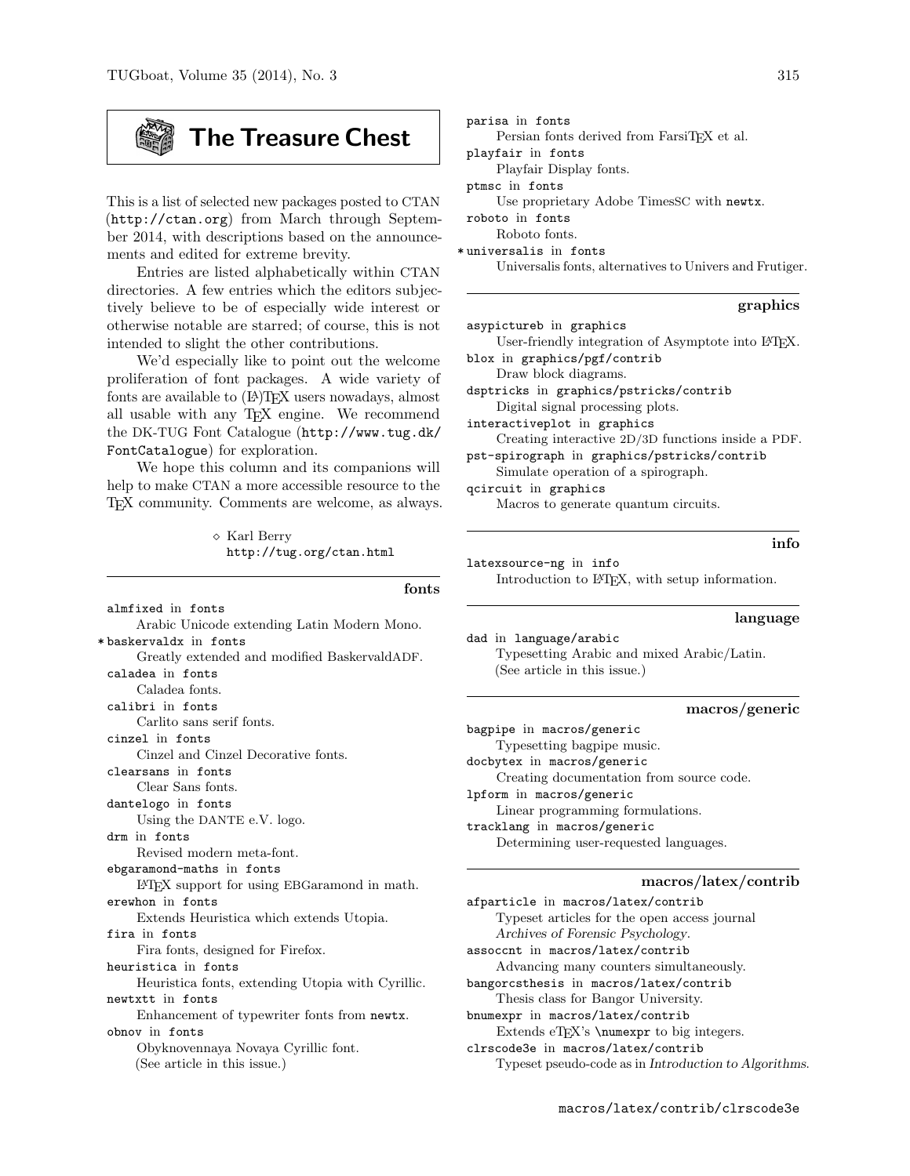# The Treasure Chest

This is a list of selected new packages posted to CTAN (http://ctan.org) from March through September 2014, with descriptions based on the announcements and edited for extreme brevity.

Entries are listed alphabetically within CTAN directories. A few entries which the editors subjectively believe to be of especially wide interest or otherwise notable are starred; of course, this is not intended to slight the other contributions.

We'd especially like to point out the welcome proliferation of font packages. A wide variety of fonts are available to  $(A)$ TEX users nowadays, almost all usable with any TEX engine. We recommend the DK-TUG Font Catalogue (http://www.tug.dk/ FontCatalogue) for exploration.

We hope this column and its companions will help to make CTAN a more accessible resource to the TEX community. Comments are welcome, as always.

> $\diamond$  Karl Berry http://tug.org/ctan.html

fonts almfixed in fonts Arabic Unicode extending Latin Modern Mono. \* baskervaldx in fonts Greatly extended and modified BaskervaldADF. caladea in fonts Caladea fonts. calibri in fonts Carlito sans serif fonts. cinzel in fonts Cinzel and Cinzel Decorative fonts. clearsans in fonts Clear Sans fonts. dantelogo in fonts Using the DANTE e.V. logo. drm in fonts Revised modern meta-font. ebgaramond-maths in fonts LATEX support for using EBGaramond in math. erewhon in fonts Extends Heuristica which extends Utopia. fira in fonts Fira fonts, designed for Firefox. heuristica in fonts Heuristica fonts, extending Utopia with Cyrillic. newtxtt in fonts Enhancement of typewriter fonts from newtx. obnov in fonts Obyknovennaya Novaya Cyrillic font. (See article in this issue.)

| parisa in fonts                                          |
|----------------------------------------------------------|
| Persian fonts derived from FarsiTFX et al.               |
| playfair in fonts                                        |
| Playfair Display fonts.                                  |
| ptmsc in fonts                                           |
| Use proprietary Adobe Timess C with newtx.               |
| roboto in fonts                                          |
| Roboto fonts.                                            |
| *universalis in fonts                                    |
| Universalis fonts, alternatives to Univers and Frutiger. |
|                                                          |
|                                                          |

#### graphics

asypictureb in graphics

User-friendly integration of Asymptote into LATEX. blox in graphics/pgf/contrib

Draw block diagrams. dsptricks in graphics/pstricks/contrib

Digital signal processing plots. interactiveplot in graphics

Creating interactive 2D/3D functions inside a PDF. pst-spirograph in graphics/pstricks/contrib

Simulate operation of a spirograph. qcircuit in graphics

Macros to generate quantum circuits.

info

latexsource-ng in info Introduction to LATEX, with setup information.

#### language

dad in language/arabic Typesetting Arabic and mixed Arabic/Latin. (See article in this issue.)

# macros/generic

bagpipe in macros/generic Typesetting bagpipe music. docbytex in macros/generic Creating documentation from source code. lpform in macros/generic Linear programming formulations. tracklang in macros/generic Determining user-requested languages.

# macros/latex/contrib

afparticle in macros/latex/contrib Typeset articles for the open access journal Archives of Forensic Psychology. assoccnt in macros/latex/contrib Advancing many counters simultaneously. bangorcsthesis in macros/latex/contrib Thesis class for Bangor University. bnumexpr in macros/latex/contrib Extends eTEX's \numexpr to big integers. clrscode3e in macros/latex/contrib Typeset pseudo-code as in Introduction to Algorithms.